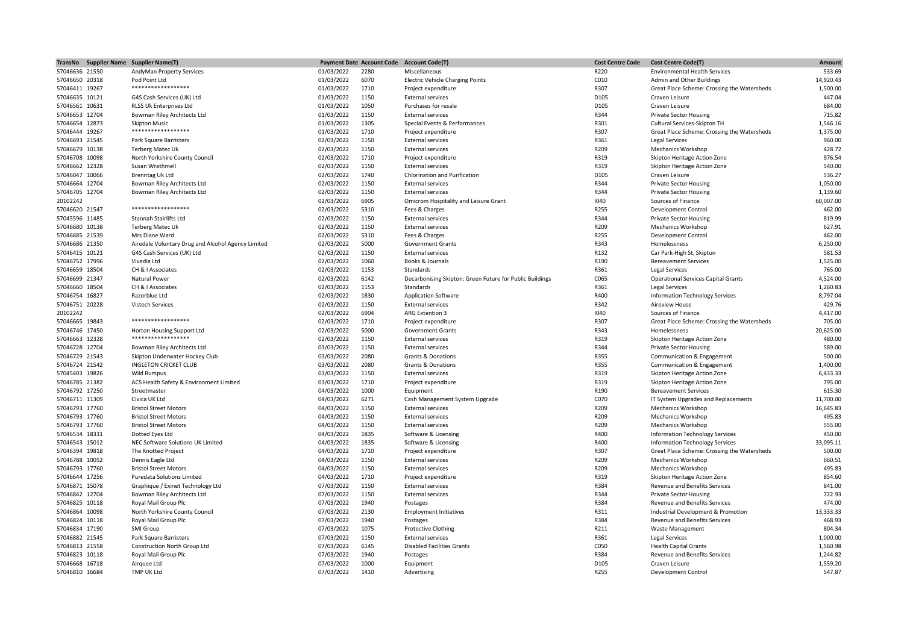| TransNo        | Supplier Name Supplier Name(T)                     |            | <b>Payment Date Account Code</b> | <b>Account Code(T)</b>                                   | <b>Cost Centre Code</b> | <b>Cost Centre Code(T)</b>                  | <b>Amount</b> |
|----------------|----------------------------------------------------|------------|----------------------------------|----------------------------------------------------------|-------------------------|---------------------------------------------|---------------|
| 57046636 21550 | AndyMan Property Services                          | 01/03/2022 | 2280                             | Miscellaneous                                            | R220                    | <b>Environmental Health Services</b>        | 533.69        |
| 57046650 20318 | Pod Point Ltd                                      | 01/03/2022 | 6070                             | <b>Electric Vehicle Charging Points</b>                  | C010                    | Admin and Other Buildings                   | 14,920.43     |
| 57046411 19267 | ******************                                 | 01/03/2022 | 1710                             | Project expenditure                                      | R307                    | Great Place Scheme: Crossing the Watersheds | 1,500.00      |
| 57046635 10121 | G4S Cash Services (UK) Ltd                         | 01/03/2022 | 1150                             | <b>External services</b>                                 | D105                    | Craven Leisure                              | 447.04        |
| 57046561 10631 | RLSS Uk Enterprises Ltd                            | 01/03/2022 | 1050                             | Purchases for resale                                     | D105                    | Craven Leisure                              | 684.00        |
| 57046653 12704 | Bowman Riley Architects Ltd                        | 01/03/2022 | 1150                             | <b>External services</b>                                 | R344                    | <b>Private Sector Housing</b>               | 715.82        |
| 57046654 12873 | <b>Skipton Music</b>                               | 01/03/2022 | 1305                             | Special Events & Performances                            | R301                    | Cultural Services-Skipton TH                | 1,546.16      |
| 57046444 19267 | *****************                                  | 01/03/2022 | 1710                             | Project expenditure                                      | R307                    | Great Place Scheme: Crossing the Watersheds | 1,375.00      |
| 57046693 21545 | Park Square Barristers                             | 02/03/2022 | 1150                             | <b>External services</b>                                 | R361                    | <b>Legal Services</b>                       | 960.00        |
| 57046679 10138 | <b>Terberg Matec Uk</b>                            | 02/03/2022 | 1150                             | <b>External services</b>                                 | R209                    | Mechanics Workshop                          | 428.72        |
|                |                                                    |            | 1710                             |                                                          | R319                    |                                             | 976.54        |
| 57046708 10098 | North Yorkshire County Council                     | 02/03/2022 |                                  | Project expenditure                                      |                         | Skipton Heritage Action Zone                |               |
| 57046662 12328 | Susan Wrathmell                                    | 02/03/2022 | 1150                             | <b>External services</b>                                 | R319                    | Skipton Heritage Action Zone                | 540.00        |
| 57046047 10066 | <b>Brenntag Uk Ltd</b>                             | 02/03/2022 | 1740                             | Chlorination and Purification                            | D105                    | Craven Leisure                              | 536.27        |
| 57046664 12704 | Bowman Riley Architects Ltd                        | 02/03/2022 | 1150                             | <b>External services</b>                                 | R344                    | <b>Private Sector Housing</b>               | 1,050.00      |
| 57046705 12704 | Bowman Riley Architects Ltd                        | 02/03/2022 | 1150                             | <b>External services</b>                                 | R344                    | <b>Private Sector Housing</b>               | 1,139.60      |
| 20102242       |                                                    | 02/03/2022 | 6905                             | Omicrom Hospitality and Leisure Grant                    | 1040                    | Sources of Finance                          | 60,007.00     |
| 57046620 21547 | ******************                                 | 02/03/2022 | 5310                             | Fees & Charges                                           | R255                    | <b>Development Control</b>                  | 462.00        |
| 57045596 11485 | <b>Stannah Stairlifts Ltd</b>                      | 02/03/2022 | 1150                             | <b>External services</b>                                 | R344                    | <b>Private Sector Housing</b>               | 819.99        |
| 57046680 10138 | Terberg Matec Uk                                   | 02/03/2022 | 1150                             | <b>External services</b>                                 | R209                    | <b>Mechanics Workshop</b>                   | 627.91        |
| 57046685 21539 | Mrs Diane Ward                                     | 02/03/2022 | 5310                             | Fees & Charges                                           | R255                    | <b>Development Control</b>                  | 462.00        |
| 57046686 21350 | Airedale Voluntary Drug and Alcohol Agency Limited | 02/03/2022 | 5000                             | <b>Government Grants</b>                                 | R343                    | Homelessness                                | 6,250.00      |
| 57046415 10121 | G4S Cash Services (UK) Ltd                         | 02/03/2022 | 1150                             | <b>External services</b>                                 | R132                    | Car Park-High St, Skipton                   | 581.53        |
| 57046752 17996 | Vivedia Ltd                                        | 02/03/2022 | 1060                             | Books & Journals                                         | R190                    | <b>Bereavement Services</b>                 | 1,525.00      |
| 57046659 18504 | CH & I Associates                                  | 02/03/2022 | 1153                             | Standards                                                | R361                    | Legal Services                              | 765.00        |
| 57046699 21347 | Natural Power                                      | 02/03/2022 | 6142                             | Decarbonising Skipton: Green Future for Public Buildings | C065                    | <b>Operational Services Capital Grants</b>  | 4,524.00      |
| 57046660 18504 | CH & I Associates                                  | 02/03/2022 | 1153                             | Standards                                                | R361                    | Legal Services                              | 1,260.83      |
| 57046754 16827 | Razorblue Ltd                                      | 02/03/2022 | 1830                             |                                                          | R400                    |                                             | 8,797.04      |
|                |                                                    |            |                                  | <b>Application Software</b>                              |                         | <b>Information Technology Services</b>      |               |
| 57046751 20228 | Vistech Services                                   | 02/03/2022 | 1150                             | <b>External services</b>                                 | R342                    | Aireview House                              | 429.76        |
| 20102242       | ******************                                 | 02/03/2022 | 6904                             | ARG Extention 3                                          | 1040                    | Sources of Finance                          | 4,417.00      |
| 57046665 19843 |                                                    | 02/03/2022 | 1710                             | Project expenditure                                      | R307                    | Great Place Scheme: Crossing the Watersheds | 705.00        |
| 57046746 17450 | Horton Housing Support Ltd                         | 02/03/2022 | 5000                             | <b>Government Grants</b>                                 | R343                    | Homelessness                                | 20,625.00     |
| 57046663 12328 | ******************                                 | 02/03/2022 | 1150                             | <b>External services</b>                                 | R319                    | Skipton Heritage Action Zone                | 480.00        |
| 57046728 12704 | Bowman Riley Architects Ltd                        | 03/03/2022 | 1150                             | <b>External services</b>                                 | R344                    | <b>Private Sector Housing</b>               | 589.00        |
| 57046729 21543 | Skipton Underwater Hockey Club                     | 03/03/2022 | 2080                             | <b>Grants &amp; Donations</b>                            | R355                    | Communication & Engagement                  | 500.00        |
| 57046724 21542 | <b>INGLETON CRICKET CLUB</b>                       | 03/03/2022 | 2080                             | <b>Grants &amp; Donations</b>                            | R355                    | Communication & Engagement                  | 1,400.00      |
| 57045403 19826 | <b>Wild Rumpus</b>                                 | 03/03/2022 | 1150                             | <b>External services</b>                                 | R319                    | Skipton Heritage Action Zone                | 6,433.33      |
| 57046785 21382 | ACS Health Safety & Environment Limited            | 03/03/2022 | 1710                             | Project expenditure                                      | R319                    | Skipton Heritage Action Zone                | 795.00        |
| 57046792 17250 | Streetmaster                                       | 04/03/2022 | 1000                             | Equipment                                                | R190                    | <b>Bereavement Services</b>                 | 615.30        |
| 57046711 11309 | Civica UK Ltd                                      | 04/03/2022 | 6271                             | Cash Management System Upgrade                           | C070                    | IT System Upgrades and Replacements         | 11,700.00     |
| 57046793 17760 | <b>Bristol Street Motors</b>                       | 04/03/2022 | 1150                             | <b>External services</b>                                 | R209                    | <b>Mechanics Workshop</b>                   | 16,645.83     |
| 57046793 17760 | <b>Bristol Street Motors</b>                       | 04/03/2022 | 1150                             | <b>External services</b>                                 | R209                    | <b>Mechanics Workshop</b>                   | 495.83        |
| 57046793 17760 | <b>Bristol Street Motors</b>                       | 04/03/2022 | 1150                             | <b>External services</b>                                 | R209                    | Mechanics Workshop                          | 555.00        |
| 57046534 18331 | Dotted Eyes Ltd                                    | 04/03/2022 | 1835                             | Software & Licensing                                     | R400                    | <b>Information Technology Services</b>      | 450.00        |
| 57046543 15012 | NEC Software Solutions UK Limited                  | 04/03/2022 | 1835                             | Software & Licensing                                     | R400                    | <b>Information Technology Services</b>      | 33,095.11     |
| 57046394 19818 | The Knotted Project                                |            | 1710                             | Project expenditure                                      | R307                    | Great Place Scheme: Crossing the Watersheds | 500.00        |
|                |                                                    | 04/03/2022 |                                  |                                                          |                         |                                             |               |
| 57046788 10052 | Dennis Eagle Ltd                                   | 04/03/2022 | 1150                             | <b>External services</b>                                 | R209                    | Mechanics Workshop                          | 660.51        |
| 57046793 17760 | <b>Bristol Street Motors</b>                       | 04/03/2022 | 1150                             | <b>External services</b>                                 | R209                    | <b>Mechanics Workshop</b>                   | 495.83        |
| 57046644 17256 | Puredata Solutions Limited                         | 04/03/2022 | 1710                             | Project expenditure                                      | R319                    | Skipton Heritage Action Zone                | 854.60        |
| 57046871 15078 | Graphique / Exinet Technology Ltd                  | 07/03/2022 | 1150                             | <b>External services</b>                                 | R384                    | <b>Revenue and Benefits Services</b>        | 841.00        |
| 57046842 12704 | Bowman Riley Architects Ltd                        | 07/03/2022 | 1150                             | <b>External services</b>                                 | R344                    | <b>Private Sector Housing</b>               | 722.93        |
| 57046825 10118 | Royal Mail Group Plc                               | 07/03/2022 | 1940                             | Postages                                                 | R384                    | Revenue and Benefits Services               | 474.00        |
| 57046864 10098 | North Yorkshire County Council                     | 07/03/2022 | 2130                             | <b>Employment Initiatives</b>                            | R311                    | Industrial Development & Promotion          | 13,333.33     |
| 57046824 10118 | Royal Mail Group Plc                               | 07/03/2022 | 1940                             | Postages                                                 | R384                    | Revenue and Benefits Services               | 468.93        |
| 57046834 17190 | SMI Group                                          | 07/03/2022 | 1075                             | <b>Protective Clothing</b>                               | R211                    | <b>Waste Management</b>                     | 804.34        |
| 57046882 21545 | Park Square Barristers                             | 07/03/2022 | 1150                             | <b>External services</b>                                 | R361                    | <b>Legal Services</b>                       | 1,000.00      |
| 57046813 21558 | Construction North Group Ltd                       | 07/03/2022 | 6145                             | <b>Disabled Facilities Grants</b>                        | C050                    | <b>Health Capital Grants</b>                | 1,560.98      |
| 57046823 10118 | Royal Mail Group Plc                               | 07/03/2022 | 1940                             | Postages                                                 | R384                    | <b>Revenue and Benefits Services</b>        | 1,244.82      |
| 57046668 16718 | Airquee Ltd                                        | 07/03/2022 | 1000                             | Equipment                                                | D105                    | Craven Leisure                              | 1,559.20      |
| 57046810 16684 | TMP UK Ltd                                         | 07/03/2022 | 1410                             | Advertising                                              | R255                    | <b>Development Control</b>                  | 547.87        |
|                |                                                    |            |                                  |                                                          |                         |                                             |               |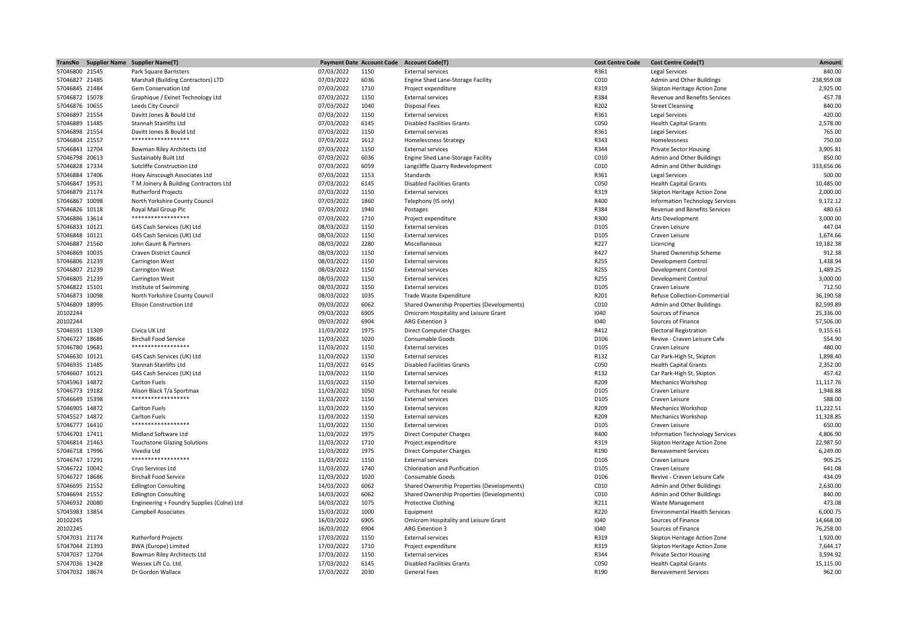| TransNo        | <b>Supplier Name Supplier Name(T)</b>           |            | <b>Payment Date Account Code</b> | <b>Account Code(T)</b>                     | <b>Cost Centre Code</b> | <b>Cost Centre Code(T)</b>             | Amount     |
|----------------|-------------------------------------------------|------------|----------------------------------|--------------------------------------------|-------------------------|----------------------------------------|------------|
| 57046800 21545 | Park Square Barristers                          | 07/03/2022 | 1150                             | <b>External services</b>                   | R361                    | <b>Legal Services</b>                  | 840.00     |
| 57046827 21485 | Marshall (Building Contractors) LTD             | 07/03/2022 | 6036                             | Engine Shed Lane-Storage Facility          | C010                    | Admin and Other Buildings              | 238,959.08 |
| 57046845 21484 | Gem Conservation Ltd                            | 07/03/2022 | 1710                             | Project expenditure                        | R319                    | Skipton Heritage Action Zone           | 2,925.00   |
| 57046872 15078 | Graphique / Exinet Technology Ltd               | 07/03/2022 | 1150                             | <b>External services</b>                   | R384                    | Revenue and Benefits Services          | 457.78     |
| 57046876 10655 | Leeds City Council                              | 07/03/2022 | 1040                             | Disposal Fees                              | R202                    | <b>Street Cleansing</b>                | 840.00     |
| 57046897 21554 | Davitt Jones & Bould Ltd                        | 07/03/2022 | 1150                             | <b>External services</b>                   | R361                    | Legal Services                         | 420.00     |
| 57046889 11485 | <b>Stannah Stairlifts Ltd</b>                   | 07/03/2022 | 6145                             | <b>Disabled Facilities Grants</b>          | C050                    | <b>Health Capital Grants</b>           | 2.578.00   |
| 57046898 21554 | Davitt Jones & Bould Ltd                        | 07/03/2022 | 1150                             | <b>External services</b>                   | R361                    | <b>Legal Services</b>                  | 765.00     |
| 57046804 21557 | ******************                              | 07/03/2022 | 1612                             | <b>Homelessness Strategy</b>               | R343                    | Homelessness                           | 750.00     |
|                |                                                 |            |                                  |                                            |                         |                                        |            |
| 57046843 12704 | Bowman Riley Architects Ltd                     | 07/03/2022 | 1150                             | <b>External services</b>                   | R344                    | <b>Private Sector Housing</b>          | 3.905.81   |
| 57046798 20613 | Sustainably Built Ltd                           | 07/03/2022 | 6036                             | Engine Shed Lane-Storage Facility          | C010                    | Admin and Other Buildings              | 850.00     |
| 57046828 17334 | Sutcliffe Construction Ltd                      | 07/03/2022 | 6059                             | Langcliffe Quarry Redevelopment            | C010                    | Admin and Other Buildings              | 333,656.06 |
| 57046884 17406 | Hoey Ainscough Associates Ltd                   | 07/03/2022 | 1153                             | Standards                                  | R361                    | <b>Legal Services</b>                  | 500.00     |
| 57046847 19531 | T M Joinery & Building Contractors Ltd          | 07/03/2022 | 6145                             | <b>Disabled Facilities Grants</b>          | C050                    | <b>Health Capital Grants</b>           | 10,485.00  |
| 57046879 21174 | <b>Rutherford Projects</b>                      | 07/03/2022 | 1150                             | <b>External services</b>                   | R319                    | Skipton Heritage Action Zone           | 2,000.00   |
| 57046867 10098 | North Yorkshire County Council                  | 07/03/2022 | 1860                             | Telephony (IS only)                        | R400                    | <b>Information Technology Services</b> | 9,172.12   |
| 57046826 10118 | Royal Mail Group Plc                            | 07/03/2022 | 1940                             | Postages                                   | R384                    | <b>Revenue and Benefits Services</b>   | 480.63     |
| 57046886 13614 | ******************                              | 07/03/2022 | 1710                             | Project expenditure                        | R300                    | Arts Development                       | 3,000.00   |
| 57046833 10121 | G4S Cash Services (UK) Ltd                      | 08/03/2022 | 1150                             | <b>External services</b>                   | D105                    | Craven Leisure                         | 447.04     |
| 57046848 10121 | G4S Cash Services (UK) Ltd                      | 08/03/2022 | 1150                             | <b>External services</b>                   | D105                    | Craven Leisure                         | 1,674.66   |
| 57046887 21560 | John Gaunt & Partners                           | 08/03/2022 | 2280                             | Miscellaneous                              | R227                    | Licencing                              | 19,182.38  |
| 57046869 10035 | Craven District Council                         | 08/03/2022 | 1150                             | <b>External services</b>                   | R427                    | Shared Ownership Scheme                | 912.38     |
| 57046806 21239 | Carrington West                                 | 08/03/2022 | 1150                             | <b>External services</b>                   | R255                    | <b>Development Control</b>             | 1,438.94   |
|                |                                                 |            |                                  |                                            |                         |                                        |            |
| 57046807 21239 | Carrington West                                 | 08/03/2022 | 1150                             | <b>External services</b>                   | R255                    | Development Control                    | 1,489.25   |
| 57046805 21239 | Carrington West                                 | 08/03/2022 | 1150                             | <b>External services</b>                   | R255                    | <b>Development Control</b>             | 3,000.00   |
| 57046822 15101 | Institute of Swimming                           | 08/03/2022 | 1150                             | <b>External services</b>                   | D105                    | Craven Leisure                         | 712.50     |
| 57046873 10098 | North Yorkshire County Council                  | 08/03/2022 | 1035                             | Trade Waste Expenditure                    | R201                    | Refuse Collection-Commercial           | 36,190.58  |
| 57046809 18995 | <b>Ellison Construction Ltd</b>                 | 09/03/2022 | 6062                             | Shared Ownership Properties (Developments) | C010                    | Admin and Other Buildings              | 82,599.89  |
| 20102244       |                                                 | 09/03/2022 | 6905                             | Omicrom Hospitality and Leisure Grant      | 1040                    | Sources of Finance                     | 25,336.00  |
| 20102244       |                                                 | 09/03/2022 | 6904                             | ARG Extention 3                            | 1040                    | Sources of Finance                     | 57,506.00  |
| 57046591 11309 | Civica UK Ltd                                   | 11/03/2022 | 1975                             | <b>Direct Computer Charges</b>             | R412                    | <b>Electoral Registration</b>          | 9,155.61   |
| 57046727 18686 | <b>Birchall Food Service</b>                    | 11/03/2022 | 1020                             | Consumable Goods                           | D106                    | Revive - Craven Leisure Cafe           | 554.90     |
| 57046780 19681 | *****************                               | 11/03/2022 | 1150                             | <b>External services</b>                   | D105                    | Craven Leisure                         | 480.00     |
| 57046630 10121 | G4S Cash Services (UK) Ltd                      | 11/03/2022 | 1150                             | <b>External services</b>                   | R132                    | Car Park-High St, Skipton              | 1,898.40   |
| 57046935 11485 | Stannah Stairlifts Ltd                          | 11/03/2022 | 6145                             | <b>Disabled Facilities Grants</b>          | C050                    | <b>Health Capital Grants</b>           | 2,352.00   |
| 57046607 10121 | G4S Cash Services (UK) Ltd                      | 11/03/2022 | 1150                             | <b>External services</b>                   | R132                    | Car Park-High St, Skipton              | 457.42     |
| 57045963 14872 | Carlton Fuels                                   | 11/03/2022 | 1150                             | <b>External services</b>                   | R209                    | <b>Mechanics Workshop</b>              | 11,117.76  |
|                |                                                 |            | 1050                             |                                            | D105                    | Craven Leisure                         | 1,948.88   |
| 57046773 19182 | Alison Black T/a Sportmax<br>****************** | 11/03/2022 |                                  | Purchases for resale                       |                         |                                        |            |
| 57046649 15398 |                                                 | 11/03/2022 | 1150                             | <b>External services</b>                   | D105                    | Craven Leisure                         | 588.00     |
| 57046905 14872 | Carlton Fuels                                   | 11/03/2022 | 1150                             | <b>External services</b>                   | R209                    | <b>Mechanics Workshop</b>              | 11,222.51  |
| 57045527 14872 | Carlton Fuels                                   | 11/03/2022 | 1150                             | <b>External services</b>                   | R209                    | <b>Mechanics Workshop</b>              | 11,328.85  |
| 57046777 16410 | ******************                              | 11/03/2022 | 1150                             | <b>External services</b>                   | D105                    | Craven Leisure                         | 650.00     |
| 57046703 17411 | Midland Software Ltd                            | 11/03/2022 | 1975                             | <b>Direct Computer Charges</b>             | R400                    | <b>Information Technology Services</b> | 4,806.90   |
| 57046814 21463 | <b>Touchstone Glazing Solutions</b>             | 11/03/2022 | 1710                             | Project expenditure                        | R319                    | Skipton Heritage Action Zone           | 22,987.50  |
| 57046718 17996 | Vivedia Ltd                                     | 11/03/2022 | 1975                             | <b>Direct Computer Charges</b>             | R190                    | <b>Bereavement Services</b>            | 6,249.00   |
| 57046747 17291 | *****************                               | 11/03/2022 | 1150                             | <b>External services</b>                   | D105                    | Craven Leisure                         | 905.25     |
| 57046722 10042 | Cryo Services Ltd                               | 11/03/2022 | 1740                             | <b>Chlorination and Purification</b>       | D105                    | Craven Leisure                         | 641.08     |
| 57046727 18686 | <b>Birchall Food Service</b>                    | 11/03/2022 | 1020                             | Consumable Goods                           | D106                    | Revive - Craven Leisure Cafe           | 434.09     |
| 57046695 21552 | <b>Edlington Consulting</b>                     | 14/03/2022 | 6062                             | Shared Ownership Properties (Developments) | C010                    | Admin and Other Buildings              | 2,630.00   |
| 57046694 21552 | <b>Edlington Consulting</b>                     | 14/03/2022 | 6062                             | Shared Ownership Properties (Developments) | C010                    | Admin and Other Buildings              | 840.00     |
| 57046932 20080 | Engineering + Foundry Supplies (Colne) Ltd      | 14/03/2022 | 1075                             | <b>Protective Clothing</b>                 | R211                    | <b>Waste Management</b>                | 473.08     |
| 57045983 13854 | <b>Campbell Associates</b>                      |            | 1000                             | Equipment                                  | R220                    | <b>Environmental Health Services</b>   | 6,000.75   |
|                |                                                 | 15/03/2022 |                                  |                                            |                         |                                        |            |
| 20102245       |                                                 | 16/03/2022 | 6905                             | Omicrom Hospitality and Leisure Grant      | 1040                    | Sources of Finance                     | 14,668.00  |
| 20102245       |                                                 | 16/03/2022 | 6904                             | ARG Extention 3                            | 1040                    | Sources of Finance                     | 76,258.00  |
| 57047031 21174 | <b>Rutherford Projects</b>                      | 17/03/2022 | 1150                             | <b>External services</b>                   | R319                    | Skipton Heritage Action Zone           | 1,920.00   |
| 57047044 21393 | <b>BWA</b> (Europe) Limited                     | 17/03/2022 | 1710                             | Project expenditure                        | R319                    | Skipton Heritage Action Zone           | 7,644.17   |
| 57047037 12704 | Bowman Riley Architects Ltd                     | 17/03/2022 | 1150                             | <b>External services</b>                   | R344                    | <b>Private Sector Housing</b>          | 3,594.92   |
| 57047036 13428 | Wessex Lift Co. Ltd.                            | 17/03/2022 | 6145                             | <b>Disabled Facilities Grants</b>          | C050                    | <b>Health Capital Grants</b>           | 15,115.00  |
| 57047032 18674 | Dr Gordon Wallace                               | 17/03/2022 | 2030                             | <b>General Fees</b>                        | R190                    | <b>Bereavement Services</b>            | 962.00     |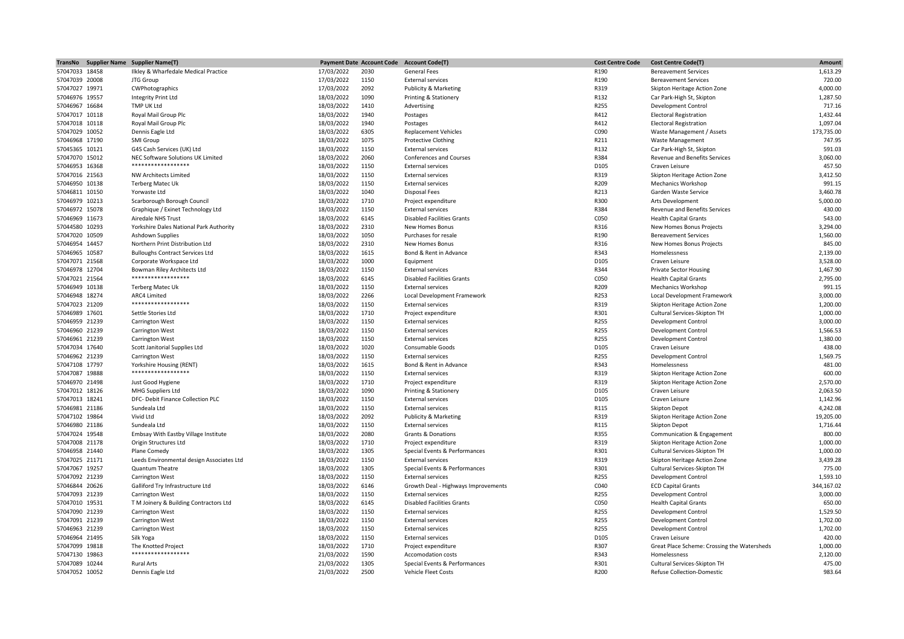| TransNo        | Supplier Name Supplier Name(T)                 |            | <b>Payment Date Account Code</b> | <b>Account Code(T)</b>              | <b>Cost Centre Code</b> | <b>Cost Centre Code(T)</b>                  | <b>Amount</b> |
|----------------|------------------------------------------------|------------|----------------------------------|-------------------------------------|-------------------------|---------------------------------------------|---------------|
| 57047033 18458 | Ilkley & Wharfedale Medical Practice           | 17/03/2022 | 2030                             | <b>General Fees</b>                 | R190                    | <b>Bereavement Services</b>                 | 1,613.29      |
| 57047039 20008 | JTG Group                                      | 17/03/2022 | 1150                             | <b>External services</b>            | R190                    | <b>Bereavement Services</b>                 | 720.00        |
| 57047027 19971 | CWPhotographics                                | 17/03/2022 | 2092                             | Publicity & Marketing               | R319                    | Skipton Heritage Action Zone                | 4,000.00      |
| 57046976 19557 | <b>Integrity Print Ltd</b>                     | 18/03/2022 | 1090                             | Printing & Stationery               | R132                    | Car Park-High St, Skipton                   | 1,287.50      |
| 57046967 16684 | TMP UK Ltd                                     | 18/03/2022 | 1410                             | Advertising                         | R255                    | Development Control                         | 717.16        |
| 57047017 10118 | Royal Mail Group Plc                           | 18/03/2022 | 1940                             | Postages                            | R412                    | <b>Electoral Registration</b>               | 1,432.44      |
| 57047018 10118 | Royal Mail Group Plc                           | 18/03/2022 | 1940                             | Postages                            | R412                    | <b>Electoral Registration</b>               | 1,097.04      |
| 57047029 10052 | Dennis Eagle Ltd                               | 18/03/2022 | 6305                             | <b>Replacement Vehicles</b>         | C090                    | Waste Management / Assets                   | 173,735.00    |
| 57046968 17190 | SMI Group                                      | 18/03/2022 | 1075                             | <b>Protective Clothing</b>          | R211                    | <b>Waste Management</b>                     | 747.95        |
| 57045365 10121 | G4S Cash Services (UK) Ltd                     | 18/03/2022 | 1150                             | <b>External services</b>            | R132                    | Car Park-High St, Skipton                   | 591.03        |
| 57047070 15012 | NEC Software Solutions UK Limited              | 18/03/2022 | 2060                             | <b>Conferences and Courses</b>      | R384                    | <b>Revenue and Benefits Services</b>        | 3,060.00      |
|                | ******************                             |            |                                  |                                     |                         |                                             |               |
| 57046953 16368 |                                                | 18/03/2022 | 1150                             | <b>External services</b>            | D105                    | Craven Leisure                              | 457.50        |
| 57047016 21563 | <b>NW Architects Limited</b>                   | 18/03/2022 | 1150                             | <b>External services</b>            | R319                    | Skipton Heritage Action Zone                | 3,412.50      |
| 57046950 10138 | <b>Terberg Matec Uk</b>                        | 18/03/2022 | 1150                             | <b>External services</b>            | R209                    | Mechanics Workshop                          | 991.15        |
| 57046811 10150 | Yorwaste Ltd                                   | 18/03/2022 | 1040                             | <b>Disposal Fees</b>                | R213                    | Garden Waste Service                        | 3,460.78      |
| 57046979 10213 | Scarborough Borough Council                    | 18/03/2022 | 1710                             | Project expenditure                 | R300                    | Arts Development                            | 5,000.00      |
| 57046972 15078 | Graphique / Exinet Technology Ltd              | 18/03/2022 | 1150                             | <b>External services</b>            | R384                    | <b>Revenue and Benefits Services</b>        | 430.00        |
| 57046969 11673 | Airedale NHS Trust                             | 18/03/2022 | 6145                             | <b>Disabled Facilities Grants</b>   | C050                    | <b>Health Capital Grants</b>                | 543.00        |
| 57044580 10293 | Yorkshire Dales National Park Authority        | 18/03/2022 | 2310                             | New Homes Bonus                     | R316                    | New Homes Bonus Projects                    | 3,294.00      |
| 57047020 10509 | <b>Ashdown Supplies</b>                        | 18/03/2022 | 1050                             | Purchases for resale                | R190                    | <b>Bereavement Services</b>                 | 1,560.00      |
| 57046954 14457 | Northern Print Distribution Ltd                | 18/03/2022 | 2310                             | New Homes Bonus                     | R316                    | New Homes Bonus Projects                    | 845.00        |
| 57046965 10587 | <b>Bulloughs Contract Services Ltd</b>         | 18/03/2022 | 1615                             | Bond & Rent in Advance              | R343                    | Homelessness                                | 2,139.00      |
| 57047071 21568 | Corporate Workspace Ltd                        | 18/03/2022 | 1000                             | Equipment                           | D105                    | Craven Leisure                              | 3,528.00      |
| 57046978 12704 | Bowman Riley Architects Ltd                    | 18/03/2022 | 1150                             | <b>External services</b>            | R344                    | <b>Private Sector Housing</b>               | 1,467.90      |
| 57047021 21564 | ******************                             | 18/03/2022 | 6145                             | <b>Disabled Facilities Grants</b>   | C050                    | <b>Health Capital Grants</b>                | 2,795.00      |
| 57046949 10138 | <b>Terberg Matec Uk</b>                        | 18/03/2022 | 1150                             | <b>External services</b>            | R209                    | Mechanics Workshop                          | 991.15        |
| 57046948 18274 | ARC4 Limited                                   | 18/03/2022 | 2266                             | Local Development Framework         | R253                    | Local Development Framework                 | 3,000.00      |
| 57047023 21209 | ******************                             | 18/03/2022 | 1150                             | <b>External services</b>            | R319                    | Skipton Heritage Action Zone                | 1,200.00      |
| 57046989 17601 | Settle Stories Ltd                             | 18/03/2022 | 1710                             | Project expenditure                 | R301                    | Cultural Services-Skipton TH                | 1,000.00      |
| 57046959 21239 | Carrington West                                | 18/03/2022 | 1150                             | <b>External services</b>            | R255                    | <b>Development Control</b>                  | 3,000.00      |
| 57046960 21239 | <b>Carrington West</b>                         | 18/03/2022 | 1150                             | <b>External services</b>            | R255                    | <b>Development Control</b>                  | 1,566.53      |
|                |                                                |            | 1150                             | <b>External services</b>            | R255                    |                                             | 1,380.00      |
| 57046961 21239 | <b>Carrington West</b>                         | 18/03/2022 |                                  |                                     |                         | Development Control                         |               |
| 57047034 17640 | Scott Janitorial Supplies Ltd                  | 18/03/2022 | 1020                             | Consumable Goods                    | D105                    | Craven Leisure                              | 438.00        |
| 57046962 21239 | <b>Carrington West</b>                         | 18/03/2022 | 1150                             | <b>External services</b>            | R255                    | <b>Development Control</b>                  | 1,569.75      |
| 57047108 17797 | Yorkshire Housing (RENT)<br>****************** | 18/03/2022 | 1615                             | Bond & Rent in Advance              | R343                    | Homelessness                                | 481.00        |
| 57047087 19888 |                                                | 18/03/2022 | 1150                             | <b>External services</b>            | R319                    | Skipton Heritage Action Zone                | 600.00        |
| 57046970 21498 | Just Good Hygiene                              | 18/03/2022 | 1710                             | Project expenditure                 | R319                    | Skipton Heritage Action Zone                | 2,570.00      |
| 57047012 18126 | MHG Suppliers Ltd                              | 18/03/2022 | 1090                             | Printing & Stationery               | D105                    | Craven Leisure                              | 2,063.50      |
| 57047013 18241 | DFC- Debit Finance Collection PLC              | 18/03/2022 | 1150                             | <b>External services</b>            | D105                    | Craven Leisure                              | 1,142.96      |
| 57046981 21186 | Sundeala Ltd                                   | 18/03/2022 | 1150                             | <b>External services</b>            | R115                    | <b>Skipton Depot</b>                        | 4,242.08      |
| 57047102 19864 | Vivid Ltd                                      | 18/03/2022 | 2092                             | Publicity & Marketing               | R319                    | Skipton Heritage Action Zone                | 19,205.00     |
| 57046980 21186 | Sundeala Ltd                                   | 18/03/2022 | 1150                             | <b>External services</b>            | R115                    | <b>Skipton Depot</b>                        | 1,716.44      |
| 57047024 19548 | Embsay With Eastby Village Institute           | 18/03/2022 | 2080                             | <b>Grants &amp; Donations</b>       | R355                    | Communication & Engagement                  | 800.00        |
| 57047008 21178 | Origin Structures Ltd                          | 18/03/2022 | 1710                             | Project expenditure                 | R319                    | Skipton Heritage Action Zone                | 1,000.00      |
| 57046958 21440 | Plane Comedy                                   | 18/03/2022 | 1305                             | Special Events & Performances       | R301                    | Cultural Services-Skipton TH                | 1,000.00      |
| 57047025 21171 | Leeds Environmental design Associates Ltd      | 18/03/2022 | 1150                             | <b>External services</b>            | R319                    | Skipton Heritage Action Zone                | 3,439.28      |
| 57047067 19257 | Quantum Theatre                                | 18/03/2022 | 1305                             | Special Events & Performances       | R301                    | Cultural Services-Skipton TH                | 775.00        |
| 57047092 21239 | <b>Carrington West</b>                         | 18/03/2022 | 1150                             | <b>External services</b>            | R255                    | <b>Development Control</b>                  | 1,593.10      |
| 57046844 20626 | Galliford Try Infrastructure Ltd               | 18/03/2022 | 6146                             | Growth Deal - Highways Improvements | C040                    | <b>ECD Capital Grants</b>                   | 344,167.02    |
| 57047093 21239 | <b>Carrington West</b>                         | 18/03/2022 | 1150                             | <b>External services</b>            | R255                    | <b>Development Control</b>                  | 3,000.00      |
| 57047010 19531 | T M Joinery & Building Contractors Ltd         | 18/03/2022 | 6145                             | <b>Disabled Facilities Grants</b>   | C050                    | <b>Health Capital Grants</b>                | 650.00        |
| 57047090 21239 | <b>Carrington West</b>                         |            | 1150                             | <b>External services</b>            | R255                    | <b>Development Control</b>                  | 1,529.50      |
|                |                                                | 18/03/2022 |                                  |                                     |                         |                                             |               |
| 57047091 21239 | <b>Carrington West</b>                         | 18/03/2022 | 1150                             | <b>External services</b>            | R255                    | <b>Development Control</b>                  | 1,702.00      |
| 57046963 21239 | <b>Carrington West</b>                         | 18/03/2022 | 1150                             | <b>External services</b>            | R255                    | <b>Development Control</b>                  | 1,702.00      |
| 57046964 21495 | Silk Yoga                                      | 18/03/2022 | 1150                             | <b>External services</b>            | D105                    | Craven Leisure                              | 420.00        |
| 57047099 19818 | The Knotted Project                            | 18/03/2022 | 1710                             | Project expenditure                 | R307                    | Great Place Scheme: Crossing the Watersheds | 1,000.00      |
| 57047130 19863 | ******************                             | 21/03/2022 | 1590                             | Accomodation costs                  | R343                    | Homelessness                                | 2,120.00      |
| 57047089 10244 | <b>Rural Arts</b>                              | 21/03/2022 | 1305                             | Special Events & Performances       | R301                    | Cultural Services-Skipton TH                | 475.00        |
| 57047052 10052 | Dennis Eagle Ltd                               | 21/03/2022 | 2500                             | <b>Vehicle Fleet Costs</b>          | R200                    | <b>Refuse Collection-Domestic</b>           | 983.64        |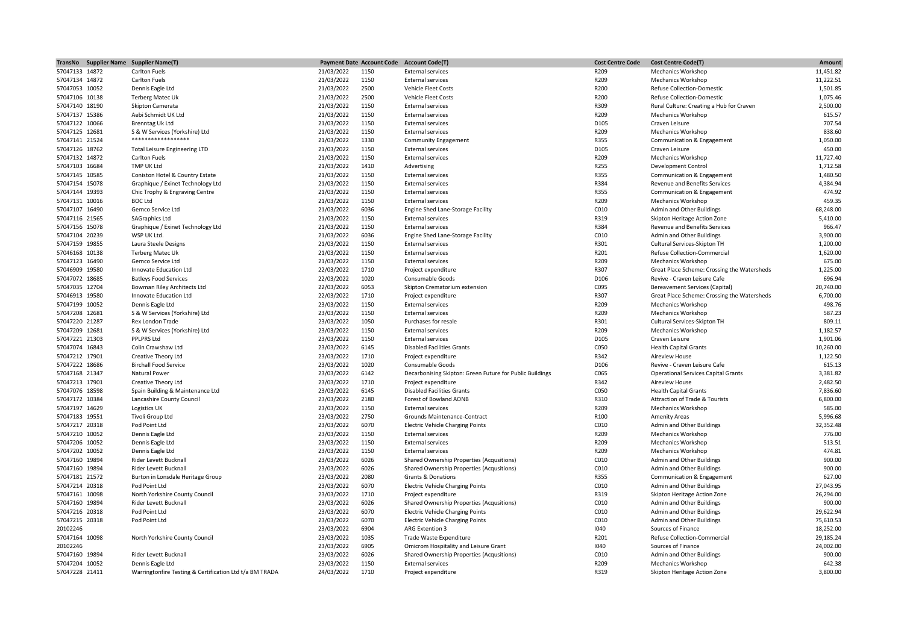| TransNo Supplier Name | <b>Supplier Name(T)</b>                                      |            | <b>Payment Date Account Code</b> | <b>Account Code(T)</b>                                   | <b>Cost Centre Code</b> | <b>Cost Centre Code(T)</b>                  | Amount    |
|-----------------------|--------------------------------------------------------------|------------|----------------------------------|----------------------------------------------------------|-------------------------|---------------------------------------------|-----------|
| 57047133 14872        | <b>Carlton Fuels</b>                                         | 21/03/2022 | 1150                             | <b>External services</b>                                 | R209                    | <b>Mechanics Workshop</b>                   | 11,451.82 |
| 57047134 14872        | <b>Carlton Fuels</b>                                         | 21/03/2022 | 1150                             | <b>External services</b>                                 | R209                    | <b>Mechanics Workshop</b>                   | 11,222.51 |
| 57047053 10052        | Dennis Eagle Ltd                                             | 21/03/2022 | 2500                             | Vehicle Fleet Costs                                      | R200                    | <b>Refuse Collection-Domestic</b>           | 1,501.85  |
| 57047106 10138        | <b>Terberg Matec Uk</b>                                      | 21/03/2022 | 2500                             | Vehicle Fleet Costs                                      | R200                    | <b>Refuse Collection-Domestic</b>           | 1,075.46  |
| 57047140 18190        | Skipton Camerata                                             | 21/03/2022 | 1150                             | <b>External services</b>                                 | R309                    | Rural Culture: Creating a Hub for Craven    | 2.500.00  |
| 57047137 15386        | Aebi Schmidt UK Ltd                                          | 21/03/2022 | 1150                             | <b>External services</b>                                 | R209                    | <b>Mechanics Workshop</b>                   | 615.57    |
| 57047122 10066        | Brenntag Uk Ltd                                              | 21/03/2022 | 1150                             | <b>External services</b>                                 | D105                    | Craven Leisure                              | 707.54    |
| 57047125 12681        | S & W Services (Yorkshire) Ltd                               | 21/03/2022 | 1150                             | <b>External services</b>                                 | R209                    | <b>Mechanics Workshop</b>                   | 838.60    |
| 57047141 21524        | ******************                                           | 21/03/2022 | 1330                             | <b>Community Engagement</b>                              | R355                    | Communication & Engagement                  | 1,050.00  |
| 57047126 18762        |                                                              |            | 1150                             |                                                          | D105                    |                                             | 450.00    |
|                       | <b>Total Leisure Engineering LTD</b>                         | 21/03/2022 |                                  | <b>External services</b>                                 |                         | Craven Leisure                              |           |
| 57047132 14872        | <b>Carlton Fuels</b>                                         | 21/03/2022 | 1150                             | <b>External services</b>                                 | R209                    | <b>Mechanics Workshop</b>                   | 11,727.40 |
| 57047103 16684        | <b>TMP UK Ltd</b>                                            | 21/03/2022 | 1410                             | Advertising                                              | R255                    | Development Control                         | 1,712.58  |
| 57047145 10585        | Coniston Hotel & Country Estate                              | 21/03/2022 | 1150                             | <b>External services</b>                                 | R355                    | Communication & Engagement                  | 1,480.50  |
| 57047154 15078        | Graphique / Exinet Technology Ltd                            | 21/03/2022 | 1150                             | <b>External services</b>                                 | R384                    | Revenue and Benefits Services               | 4,384.94  |
| 57047144 19393        | Chic Trophy & Engraving Centre                               | 21/03/2022 | 1150                             | <b>External services</b>                                 | R355                    | Communication & Engagement                  | 474.92    |
| 57047131 10016        | <b>BOC Ltd</b>                                               | 21/03/2022 | 1150                             | <b>External services</b>                                 | R209                    | <b>Mechanics Workshop</b>                   | 459.35    |
| 57047107 16490        | Gemco Service Ltd                                            | 21/03/2022 | 6036                             | Engine Shed Lane-Storage Facility                        | C010                    | Admin and Other Buildings                   | 68,248.00 |
| 57047116 21565        | <b>SAGraphics Ltd</b>                                        | 21/03/2022 | 1150                             | <b>External services</b>                                 | R319                    | Skipton Heritage Action Zone                | 5,410.00  |
| 57047156 15078        | Graphique / Exinet Technology Ltd                            | 21/03/2022 | 1150                             | <b>External services</b>                                 | R384                    | Revenue and Benefits Services               | 966.47    |
| 57047104 20239        | WSP UK Ltd.                                                  | 21/03/2022 | 6036                             | Engine Shed Lane-Storage Facility                        | C010                    | Admin and Other Buildings                   | 3,900.00  |
| 57047159 19855        | Laura Steele Designs                                         | 21/03/2022 | 1150                             | <b>External services</b>                                 | R301                    | Cultural Services-Skipton TH                | 1,200.00  |
| 57046168 10138        | Terberg Matec Uk                                             | 21/03/2022 | 1150                             | <b>External services</b>                                 | R201                    | Refuse Collection-Commercial                | 1,620.00  |
| 57047123 16490        | Gemco Service Ltd                                            | 21/03/2022 | 1150                             | <b>External services</b>                                 | R209                    | <b>Mechanics Workshop</b>                   | 675.00    |
| 57046909 19580        | Innovate Education Ltd                                       | 22/03/2022 | 1710                             | Project expenditure                                      | R307                    | Great Place Scheme: Crossing the Watersheds | 1,225.00  |
| 57047072 18685        | <b>Batleys Food Services</b>                                 | 22/03/2022 | 1020                             | Consumable Goods                                         | D106                    | Revive - Craven Leisure Cafe                | 696.94    |
| 57047035 12704        |                                                              | 22/03/2022 | 6053                             |                                                          | C095                    |                                             | 20,740.00 |
|                       | Bowman Riley Architects Ltd<br><b>Innovate Education Ltd</b> |            |                                  | Skipton Crematorium extension                            |                         | <b>Bereavement Services (Capital)</b>       |           |
| 57046913 19580        |                                                              | 22/03/2022 | 1710                             | Project expenditure                                      | R307                    | Great Place Scheme: Crossing the Watersheds | 6,700.00  |
| 57047199 10052        | Dennis Eagle Ltd                                             | 23/03/2022 | 1150                             | <b>External services</b>                                 | R209                    | <b>Mechanics Workshop</b>                   | 498.76    |
| 57047208 12681        | S & W Services (Yorkshire) Ltd                               | 23/03/2022 | 1150                             | <b>External services</b>                                 | R209                    | <b>Mechanics Workshop</b>                   | 587.23    |
| 57047220 21287        | Rex London Trade                                             | 23/03/2022 | 1050                             | Purchases for resale                                     | R301                    | Cultural Services-Skipton TH                | 809.11    |
| 57047209 12681        | S & W Services (Yorkshire) Ltd                               | 23/03/2022 | 1150                             | <b>External services</b>                                 | R209                    | <b>Mechanics Workshop</b>                   | 1,182.57  |
| 57047221 21303        | <b>PPLPRS Ltd</b>                                            | 23/03/2022 | 1150                             | <b>External services</b>                                 | D105                    | Craven Leisure                              | 1,901.06  |
| 57047074 16843        | Colin Crawshaw Ltd                                           | 23/03/2022 | 6145                             | <b>Disabled Facilities Grants</b>                        | C050                    | <b>Health Capital Grants</b>                | 10,260.00 |
| 57047212 17901        | Creative Theory Ltd                                          | 23/03/2022 | 1710                             | Project expenditure                                      | R342                    | Aireview House                              | 1,122.50  |
| 57047222 18686        | <b>Birchall Food Service</b>                                 | 23/03/2022 | 1020                             | Consumable Goods                                         | D106                    | Revive - Craven Leisure Cafe                | 615.13    |
| 57047168 21347        | Natural Power                                                | 23/03/2022 | 6142                             | Decarbonising Skipton: Green Future for Public Buildings | C065                    | <b>Operational Services Capital Grants</b>  | 3,381.82  |
| 57047213 17901        | Creative Theory Ltd                                          | 23/03/2022 | 1710                             | Project expenditure                                      | R342                    | <b>Aireview House</b>                       | 2,482.50  |
| 57047076 18598        | Spain Building & Maintenance Ltd                             | 23/03/2022 | 6145                             | <b>Disabled Facilities Grants</b>                        | C050                    | <b>Health Capital Grants</b>                | 7,836.60  |
| 57047172 10384        | Lancashire County Council                                    | 23/03/2022 | 2180                             | Forest of Bowland AONB                                   | R310                    | Attraction of Trade & Tourists              | 6,800.00  |
| 57047197 14629        | Logistics UK                                                 | 23/03/2022 | 1150                             | <b>External services</b>                                 | R209                    | <b>Mechanics Workshop</b>                   | 585.00    |
| 57047183 19551        | Tivoli Group Ltd                                             | 23/03/2022 | 2750                             | Grounds Maintenance-Contract                             | R100                    | <b>Amenity Areas</b>                        | 5,996.68  |
| 57047217 20318        | Pod Point Ltd                                                | 23/03/2022 | 6070                             | <b>Electric Vehicle Charging Points</b>                  | C010                    | Admin and Other Buildings                   | 32,352.48 |
| 57047210 10052        | Dennis Eagle Ltd                                             | 23/03/2022 | 1150                             | <b>External services</b>                                 | R209                    | <b>Mechanics Workshop</b>                   | 776.00    |
| 57047206 10052        |                                                              | 23/03/2022 | 1150                             | <b>External services</b>                                 | R209                    | <b>Mechanics Workshop</b>                   | 513.51    |
|                       | Dennis Eagle Ltd                                             |            |                                  |                                                          |                         |                                             |           |
| 57047202 10052        | Dennis Eagle Ltd                                             | 23/03/2022 | 1150                             | <b>External services</b>                                 | R209                    | <b>Mechanics Workshop</b>                   | 474.81    |
| 57047160 19894        | Rider Levett Bucknall                                        | 23/03/2022 | 6026                             | Shared Ownership Properties (Acqusitions)                | C010                    | Admin and Other Buildings                   | 900.00    |
| 57047160 19894        | Rider Levett Bucknall                                        | 23/03/2022 | 6026                             | Shared Ownership Properties (Acqusitions)                | C010                    | Admin and Other Buildings                   | 900.00    |
| 57047181 21572        | Burton in Lonsdale Heritage Group                            | 23/03/2022 | 2080                             | <b>Grants &amp; Donations</b>                            | R355                    | Communication & Engagement                  | 627.00    |
| 57047214 20318        | Pod Point Ltd                                                | 23/03/2022 | 6070                             | <b>Electric Vehicle Charging Points</b>                  | C010                    | Admin and Other Buildings                   | 27,043.95 |
| 57047161 10098        | North Yorkshire County Council                               | 23/03/2022 | 1710                             | Project expenditure                                      | R319                    | Skipton Heritage Action Zone                | 26,294.00 |
| 57047160 19894        | Rider Levett Bucknall                                        | 23/03/2022 | 6026                             | Shared Ownership Properties (Acqusitions)                | C010                    | Admin and Other Buildings                   | 900.00    |
| 57047216 20318        | Pod Point Ltd                                                | 23/03/2022 | 6070                             | <b>Electric Vehicle Charging Points</b>                  | C010                    | Admin and Other Buildings                   | 29,622.94 |
| 57047215 20318        | Pod Point Ltd                                                | 23/03/2022 | 6070                             | <b>Electric Vehicle Charging Points</b>                  | C010                    | Admin and Other Buildings                   | 75,610.53 |
| 20102246              |                                                              | 23/03/2022 | 6904                             | ARG Extention 3                                          | 1040                    | Sources of Finance                          | 18,252.00 |
| 57047164 10098        | North Yorkshire County Council                               | 23/03/2022 | 1035                             | Trade Waste Expenditure                                  | R201                    | Refuse Collection-Commercial                | 29,185.24 |
| 20102246              |                                                              | 23/03/2022 | 6905                             | Omicrom Hospitality and Leisure Grant                    | 1040                    | Sources of Finance                          | 24,002.00 |
| 57047160 19894        | Rider Levett Bucknall                                        | 23/03/2022 | 6026                             | Shared Ownership Properties (Acqusitions)                | C010                    | Admin and Other Buildings                   | 900.00    |
| 57047204 10052        | Dennis Eagle Ltd                                             | 23/03/2022 | 1150                             | <b>External services</b>                                 | R209                    | <b>Mechanics Workshop</b>                   | 642.38    |
|                       |                                                              |            |                                  |                                                          |                         |                                             |           |
| 57047228 21411        | Warringtonfire Testing & Certification Ltd t/a BM TRADA      | 24/03/2022 | 1710                             | Project expenditure                                      | R319                    | Skipton Heritage Action Zone                | 3,800.00  |